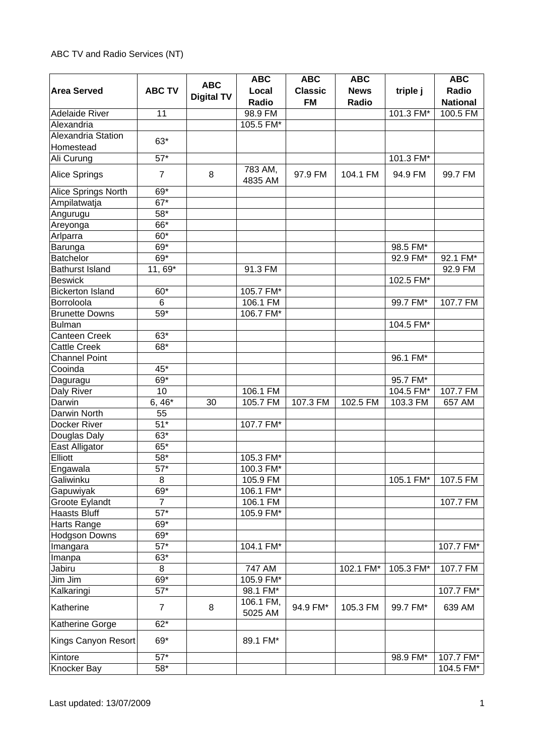## ABC TV and Radio Services (NT)

|                         |                   | <b>ABC</b>        | <b>ABC</b>           | <b>ABC</b>                  | <b>ABC</b>           |           | <b>ABC</b>               |
|-------------------------|-------------------|-------------------|----------------------|-----------------------------|----------------------|-----------|--------------------------|
| <b>Area Served</b>      | <b>ABC TV</b>     | <b>Digital TV</b> | Local<br>Radio       | <b>Classic</b><br><b>FM</b> | <b>News</b><br>Radio | triple j  | Radio<br><b>National</b> |
| <b>Adelaide River</b>   | 11                |                   | 98.9 FM              |                             |                      | 101.3 FM* | 100.5 FM                 |
| Alexandria              |                   |                   | 105.5 FM*            |                             |                      |           |                          |
| Alexandria Station      |                   |                   |                      |                             |                      |           |                          |
| Homestead               | $63*$             |                   |                      |                             |                      |           |                          |
| Ali Curung              | $57*$             |                   |                      |                             |                      | 101.3 FM* |                          |
|                         |                   |                   | 783 AM,              |                             |                      |           |                          |
| Alice Springs           | $\overline{7}$    | 8                 | 4835 AM              | 97.9 FM                     | 104.1 FM             | 94.9 FM   | 99.7 FM                  |
| Alice Springs North     | 69*               |                   |                      |                             |                      |           |                          |
| Ampilatwatja            | $\overline{67}^*$ |                   |                      |                             |                      |           |                          |
| Angurugu                | 58*               |                   |                      |                             |                      |           |                          |
| Areyonga                | 66*               |                   |                      |                             |                      |           |                          |
| Arlparra                | 60*               |                   |                      |                             |                      |           |                          |
| Barunga                 | 69*               |                   |                      |                             |                      | 98.5 FM*  |                          |
| Batchelor               | $69*$             |                   |                      |                             |                      | 92.9 FM*  | 92.1 FM*                 |
| <b>Bathurst Island</b>  | 11, 69*           |                   | 91.3 FM              |                             |                      |           | 92.9 FM                  |
| <b>Beswick</b>          |                   |                   |                      |                             |                      | 102.5 FM* |                          |
| <b>Bickerton Island</b> | 60*               |                   | 105.7 FM*            |                             |                      |           |                          |
| Borroloola              | $6\phantom{1}$    |                   | 106.1 FM             |                             |                      | 99.7 FM*  | 107.7 FM                 |
| <b>Brunette Downs</b>   | 59*               |                   | 106.7 FM*            |                             |                      |           |                          |
| <b>Bulman</b>           |                   |                   |                      |                             |                      | 104.5 FM* |                          |
| <b>Canteen Creek</b>    | $63*$             |                   |                      |                             |                      |           |                          |
| <b>Cattle Creek</b>     | 68*               |                   |                      |                             |                      |           |                          |
| <b>Channel Point</b>    |                   |                   |                      |                             |                      | 96.1 FM*  |                          |
| Cooinda                 | 45*               |                   |                      |                             |                      |           |                          |
| Daguragu                | 69*               |                   |                      |                             |                      | 95.7 FM*  |                          |
| Daly River              | 10                |                   | 106.1 FM             |                             |                      | 104.5 FM* | 107.7 FM                 |
| Darwin                  | $6, 46*$          | 30                | 105.7 FM             | 107.3 FM                    | 102.5 FM             | 103.3 FM  | 657 AM                   |
| Darwin North            | 55                |                   |                      |                             |                      |           |                          |
| Docker River            | $51*$             |                   | 107.7 FM*            |                             |                      |           |                          |
| Douglas Daly            | $63*$             |                   |                      |                             |                      |           |                          |
| East Alligator          | $65*$             |                   |                      |                             |                      |           |                          |
| Elliott                 | $58^{\ast}$       |                   | 105.3 FM*            |                             |                      |           |                          |
| Engawala                | $57*$             |                   | 100.3 FM*            |                             |                      |           |                          |
| Galiwinku               | 8                 |                   | 105.9 FM             |                             |                      | 105.1 FM* | 107.5 FM                 |
| Gapuwiyak               | 69*               |                   | 106.1 FM*            |                             |                      |           |                          |
| Groote Eylandt          | $\overline{7}$    |                   | 106.1 FM             |                             |                      |           | 107.7 FM                 |
| <b>Haasts Bluff</b>     | $\overline{57}^*$ |                   | 105.9 FM*            |                             |                      |           |                          |
| Harts Range             | 69*               |                   |                      |                             |                      |           |                          |
| <b>Hodgson Downs</b>    | 69*               |                   |                      |                             |                      |           |                          |
| Imangara                | $57*$             |                   | 104.1 FM*            |                             |                      |           | 107.7 FM*                |
| Imanpa                  | $63*$             |                   |                      |                             |                      |           |                          |
| Jabiru                  | 8                 |                   | 747 AM               |                             | 102.1 FM*            | 105.3 FM* | 107.7 FM                 |
| Jim Jim                 | $69*$             |                   | 105.9 FM*            |                             |                      |           |                          |
| Kalkaringi              | $57*$             |                   | 98.1 FM*             |                             |                      |           | 107.7 FM*                |
| Katherine               | $\overline{7}$    | 8                 | 106.1 FM,<br>5025 AM | 94.9 FM*                    | 105.3 FM             | 99.7 FM*  | 639 AM                   |
| Katherine Gorge         | $62*$             |                   |                      |                             |                      |           |                          |
| Kings Canyon Resort     | $69*$             |                   | 89.1 FM*             |                             |                      |           |                          |
| Kintore<br>Knocker Bay  | $57*$<br>$58*$    |                   |                      |                             |                      | 98.9 FM*  | 107.7 FM*<br>104.5 FM*   |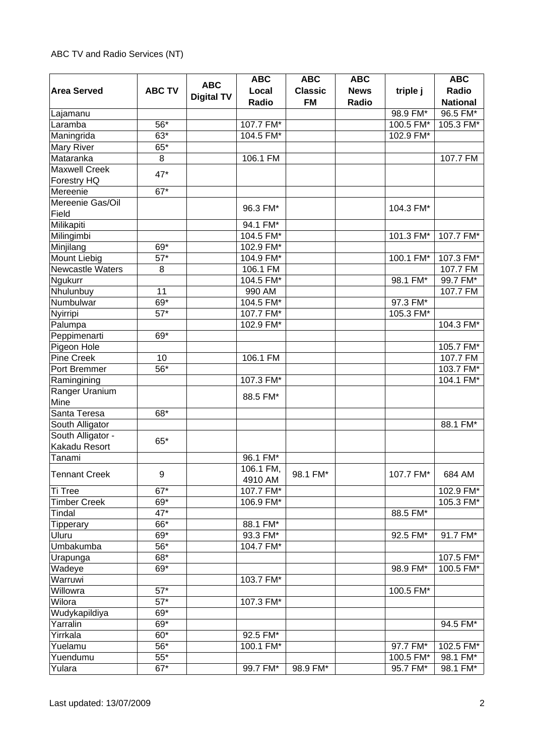## ABC TV and Radio Services (NT)

|                      |                   |                   | <b>ABC</b> | <b>ABC</b>     | <b>ABC</b>  |           | <b>ABC</b>      |
|----------------------|-------------------|-------------------|------------|----------------|-------------|-----------|-----------------|
| <b>Area Served</b>   | <b>ABC TV</b>     | <b>ABC</b>        | Local      | <b>Classic</b> | <b>News</b> | triple j  | Radio           |
|                      |                   | <b>Digital TV</b> | Radio      | <b>FM</b>      | Radio       |           | <b>National</b> |
| Lajamanu             |                   |                   |            |                |             | 98.9 FM*  | 96.5 FM*        |
| Laramba              | 56*               |                   | 107.7 FM*  |                |             | 100.5 FM* | 105.3 FM*       |
| Maningrida           | $63*$             |                   | 104.5 FM*  |                |             | 102.9 FM* |                 |
| Mary River           | $65*$             |                   |            |                |             |           |                 |
| Mataranka            | 8                 |                   | 106.1 FM   |                |             |           | 107.7 FM        |
| Maxwell Creek        |                   |                   |            |                |             |           |                 |
| Forestry HQ          | 47*               |                   |            |                |             |           |                 |
| Mereenie             | $67*$             |                   |            |                |             |           |                 |
| Mereenie Gas/Oil     |                   |                   |            |                |             |           |                 |
| Field                |                   |                   | 96.3 FM*   |                |             | 104.3 FM* |                 |
| Milikapiti           |                   |                   | 94.1 FM*   |                |             |           |                 |
| Milingimbi           |                   |                   | 104.5 FM*  |                |             | 101.3 FM* | 107.7 FM*       |
| Minjilang            | $69*$             |                   | 102.9 FM*  |                |             |           |                 |
| Mount Liebig         | $57*$             |                   | 104.9 FM*  |                |             | 100.1 FM* | 107.3 FM*       |
| Newcastle Waters     | 8                 |                   | 106.1 FM   |                |             |           | 107.7 FM        |
| Ngukurr              |                   |                   | 104.5 FM*  |                |             | 98.1 FM*  | 99.7 FM*        |
| Nhulunbuy            | 11                |                   | 990 AM     |                |             |           | 107.7 FM        |
| Numbulwar            | 69*               |                   | 104.5 FM*  |                |             | 97.3 FM*  |                 |
| Nyirripi             | $57*$             |                   | 107.7 FM*  |                |             | 105.3 FM* |                 |
| Palumpa              |                   |                   | 102.9 FM*  |                |             |           | 104.3 FM*       |
| Peppimenarti         | 69*               |                   |            |                |             |           |                 |
| Pigeon Hole          |                   |                   |            |                |             |           | 105.7 FM*       |
| Pine Creek           | 10                |                   | 106.1 FM   |                |             |           | 107.7 FM        |
| Port Bremmer         | 56*               |                   |            |                |             |           | 103.7 FM*       |
| Ramingining          |                   |                   | 107.3 FM*  |                |             |           | 104.1 FM*       |
| Ranger Uranium       |                   |                   |            |                |             |           |                 |
| Mine                 |                   |                   | 88.5 FM*   |                |             |           |                 |
| Santa Teresa         | 68*               |                   |            |                |             |           |                 |
| South Alligator      |                   |                   |            |                |             |           | 88.1 FM*        |
| South Alligator -    |                   |                   |            |                |             |           |                 |
| Kakadu Resort        | $65*$             |                   |            |                |             |           |                 |
| Tanami               |                   |                   | 96.1 FM*   |                |             |           |                 |
|                      |                   |                   | 106.1 FM,  |                |             |           |                 |
| <b>Tennant Creek</b> | 9                 |                   | 4910 AM    | 98.1 FM*       |             | 107.7 FM* | 684 AM          |
| Ti Tree              | $67*$             |                   | 107.7 FM*  |                |             |           | 102.9 FM*       |
| <b>Timber Creek</b>  | $69*$             |                   | 106.9 FM*  |                |             |           | 105.3 FM*       |
| Tindal               | 47*               |                   |            |                |             | 88.5 FM*  |                 |
| Tipperary            | $66*$             |                   | 88.1 FM*   |                |             |           |                 |
| Uluru                | $69*$             |                   | 93.3 FM*   |                |             | 92.5 FM*  | 91.7 FM*        |
| Umbakumba            | $\overline{56}^*$ |                   | 104.7 FM*  |                |             |           |                 |
| Urapunga             | 68*               |                   |            |                |             |           | 107.5 FM*       |
| Wadeye               | 69*               |                   |            |                |             | 98.9 FM*  | 100.5 FM*       |
| Warruwi              |                   |                   | 103.7 FM*  |                |             |           |                 |
| Willowra             | $57*$             |                   |            |                |             | 100.5 FM* |                 |
| Wilora               | $\overline{57}^*$ |                   | 107.3 FM*  |                |             |           |                 |
| Wudykapildiya        | 69*               |                   |            |                |             |           |                 |
| Yarralin             | 69*               |                   |            |                |             |           | 94.5 FM*        |
| Yirrkala             | $60*$             |                   | 92.5 FM*   |                |             |           |                 |
| Yuelamu              | 56*               |                   | 100.1 FM*  |                |             | 97.7 FM*  | 102.5 FM*       |
| Yuendumu             | $55*$             |                   |            |                |             | 100.5 FM* | 98.1 FM*        |
| Yulara               | $67*$             |                   | 99.7 FM*   | 98.9 FM*       |             | 95.7 FM*  | 98.1 FM*        |